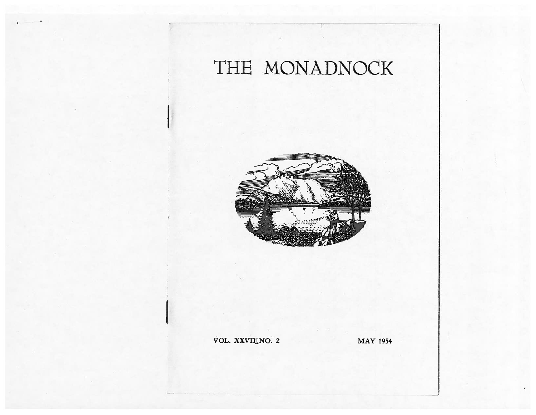# THE MONADNO



### OL. XXVIITNO.

**MAY 1954**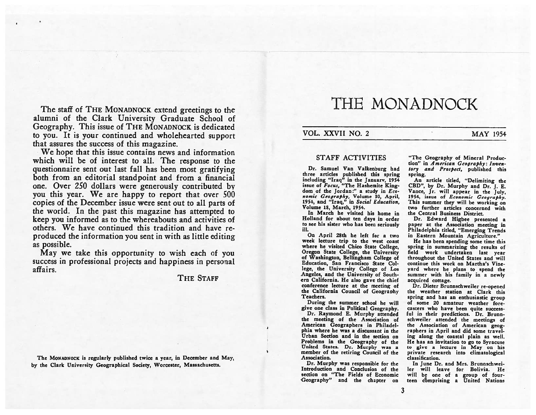The staff of THE MONADNOCK extend greetings to the alumni of the Clark University Graduate School of Geography. This issue of THE MONADNOCK is dedicated to you. It is your continued and wholehearted support that assures the success of this magazine.

 We hope that this issue contains news and information which will be of interest to all. The response to the questionnaire sent out last fall has been most gratifying both from an editorial standpoint and from <sup>a</sup> financial one. Over 250 dollars were generously contributed by you this year. We are happy to report that over 500 copies of the December issue were sent out to all parts of the world. In the past this magazine has attempted to keep you informed as to the whereabouts and activities of others. We have continued this tradition and have re produced the information you sent in with as little editing as possible.

May we take this opportunity to wish each of you success in professional projects and happiness in personal affairs.

THE STAFF

The MONADNOCK is regularly published twice <sup>a</sup> year, in December and May, by the Clark University Geographical Society, Worcester, Massachusetts.

## THE MONADNOCK

#### VOL. XXVII NO. 2 MAY 1954

#### STAFF ACTIVITIES

Dr. Samuel Van Valkenburg had three articles published this spring including "Iraq" in the January, 1954 issue of *Focus*, "The Hashemite Kingdom of the Jordan:" a study in Economic Geography, Volume 30, April, 1954., and "Iraq," in Social Education, Volume 18, March, 1954.

In March he visited his home in Holland for about ten days in order to see his sister who has been seriously ill.

On April 28th he left for <sup>a</sup> two week lecture trip to the West coast where he visited Chico State College, Oregon State College, the University of Washington, Bellingham College of Education, San Francisco State Col lege, the University College of Los Angeles, and the University of South ern California. He also gave the chief conference lecture at the meeting of the California Council of Geography Teachers.

During the summer school he will <sup>g</sup>ive one class in Political Geography.

Dr. Raymond E. Murphy attended the meeting of the Association of American Geographers in Philadel phia where he was <sup>a</sup> discussant in the Urban Section and in the section on Problems in the Geography of the United States. Dr. Murphy was <sup>a</sup> member of the retiring Council of the Association.

Dr. Murphy was responsible for the Introduction and Conclusion of the section on "The Fields of Economic -Geography" and the chapter on

"The Geography of Mineral Produc tion" in American Geography: Inventory and Prospect, published this spring.

An article titled, "Delimiting the CBD", by Dr. Murphy and Dr. I. E. Vance, Jr. will appear in the july. 1954, issue of Economic Geography. This summer they will be working on two further articles concerned with the Central Business District.

Dr. Edward Higbee presented <sup>a</sup> paper at the Association meeting in Philadelphia titled, "Emerging Trends in Eastern Mountain Agriculture."

He has been spending some time this spring in summarizing the results of field work undertaken last year throughout the United States and will continue this work on Martha's Vine yard where he <sup>p</sup>lans to spend the summer with his family in <sup>a</sup> newly acquired cottage.

Dr. Dieter Brunnschweiler re-opene<sup>d</sup> the weather station at Clark this spring and has an enthusiastic group of some 20 amateur weather fore casters who have been quite success ful in their predictions. Dr. Brunnschweiler attended the meetings of the Association of American geog raphers in April and did some travel ing along the coastal plain as well. He has an invitation to go to Syracuse to give <sup>a</sup> lecture in May on his private research into climatological classification.

In June Dr. and Mrs. Brunnschwei Icr will leave for Bolivia. He will be one of <sup>a</sup> group of four teen comprising <sup>a</sup> United Nations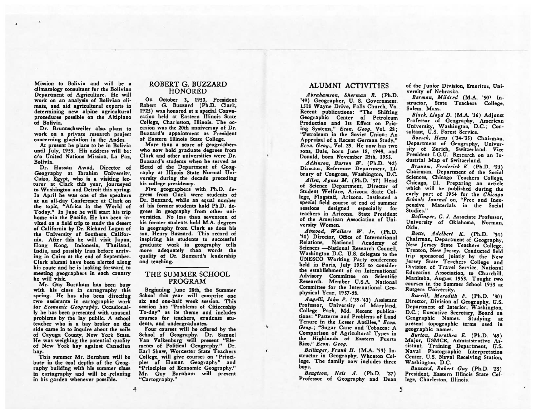Mission to Bolivia and will be <sup>a</sup> climatology consultant for the Bolivian Department of Agriculture. He will work on an analysis of Bolivian cli mate, and aid agricultural experts in determining new alpine agricultural procedures possible on the Altiplano of Bolivia.

Dr. Brunnschweiler also. <sup>p</sup>lans to work on <sup>a</sup> private research project concerning glaciation in the Andes.

At presen<sup>t</sup> he plans to be in Bolivia until July, 1955. His address will be: c/o United Nations Mission, La Paz. Bolivia.

Dr. Hassan Awad, Director of Geography at Ibrahim University. Cairo, Egypt, who is <sup>a</sup> visiting lec turer at Clark this year, journeyed to Washington and Detroit this spring. In April he was one of the speakers at an all-day Conference at Clark on the topic, "Africa in the World of Today." In June he will start his trip home via the Pacific. He has been in vited on <sup>a</sup> field trip to study the desert of California by Dr. Richard Logan of the University of Southern Califor nia. After this he will visit Japan, Hong Kong, Indonesia, Thailand, India, and possibly Iran before arriv ing in Cairo at the end of September. Clark alumni have been alerted along his route and he is looking forward to meeting geographers in each country he will visit.

Mr. Guy Burnham has been busy with his class in cartography this spring. He has also been directing two assistants in cartographic work for Economic Geography. Occasional ly he has been presented with unusual problems by the lay public. A school teacher who is <sup>a</sup> hay broker on the side came in to inquire about the soils of Cayuga County, New York State. He was weighing the potential quality of New York hay against Canadian hay.

This summer Mr. Burnham will be busy in the cool depths of the Geog raphy building with his summer class in cartography and will be .relaxing in his garden whenever possible.

#### ROBERT G. BUZZARD **HONORED**

On October 3, 1953, President Robert G. Buzzard (Ph.D. Clark, 1925) was honored at <sup>a</sup> special Convo cation held at Eastern Illinois State College, Charleston, Illinois. The oc casion was the 20th anniversay of Dr. Buzzard's appointment as President of Eastern Illinois State College.

More than <sup>a</sup> score of geographers who now hold graduate degrees from Clark and other universities were Dr. Buzzard's students when he served as Head of the Department of Geog raphy at Illinois State Normal Uni versity during the decade preceding his college presidency.

Five geographers with Ph.D. de gress from Clark were students of Dr. Buzzard, while an equal number of his former students hold Ph.D. de grees in geography from other uni versities. No less than seventeen of his former students hold M.A. degrees in geography from Clark as does his son, Henry Buzzard. This record of inspiring his students to successful graduate work in geography tells more adequately than words the quality of Dr. Buzzard's leadership and teaching.

#### THE SUMMER SCHOOL PROGRAM

Beginning June 28th, the Summer School this year will comprise one six and one-half week session. This session has "Problems of Citizenship To-day" as its theme and includes courses for teachers, graduate students, and undergraduates.

Four courses will be offered by the School of Geography. Dr. Samuel Van Valkenburg will presen<sup>t</sup> "Ele ments of Political Geography." Dr. Earl Shaw, Worcester State Teachers College, will give courses on "Princi ples of Human Geography" and "Principles of Economic Geography." Mr. Guy Burnham will presen<sup>t</sup> "Cartography."

r.

#### ALUMNI ACTIVITIES

Abrahamson, Sherman R. (Ph.D. '49) Geographer, U. S. Government. 1518 Wayne Drive, Falls Church, Va. Recent publications: "The Shifting Geographic Center of Petroleum Production and Its Effect on Pric ing Systems," Econ. Geog. Vol. 28; "Petroleum in the Soviet Union: An Appraisal of <sup>a</sup> Recent German Study," Econ. Geog., Vol. 29. He now has two sons, Dale, born June 18, 1949, and Donald, born November 25th, 1953.

Adkinson, Burton W. (Ph.D. '42) Director, Reference Department, Li brary of Congress, Washington, D.C.

Allen, Agnes M. (Ph.D. '37) Head of Science Department, Director of Student Welfare, Arizona State Col lege, Flagstaff, Arizona. Instituted <sup>a</sup> special field course at end of summer sessions designed especially for teachers in Arizona. State President of the American Association of Uni versity Women.

Atwood, Wallace W. Jr. (Ph.D. '30) Director, Office of International Relations, National Academy of Sciences —National Research Council, Washington D.C. U.S. delegate to the UNESCO Working Party conference held in Paris, July 1953 to consider the establishment of an International Advisory Committee on Scientific Research. Member U.S.A. National Committee for the International Geo physical Year, 1957-53.

Augelli, John P. ('39-'43) Assistant<br>Professor, University of Maryland. College Park, Md. Recent publica-<br>tions: "Patterns and Problems of Land Tenure in the Lesser Antilles," Econ. Geog.; "Sugar Cane and Tobacco: A Comparison of Agricultural Types in the Highlands of Eastern Puerto Rico," Econ. Geog.

Bellinger, Frank H. (M.A. '53) Instructor in Geography, Wheaton Col lege. The family now includes three boys.

Bengtson, Nels 4. (Ph.D. '27) Professor of Geography and Dean of the Junior Division, Emeritus, University of Nebraska.

Berman, Mildred (M.A. '50) Instructor, State Teachers College, Salem, Mass.

Black, Lloyd D. (M.A. '36) Adjunct Professor of Geography, American University, Washington, D.C.; Con sultant, U.S. Forest Service.

Boesch, Hans ('34-'35) Chairman, Department of Geography, Univer sity of Zurich, Switzerland. Vice President I.G.U. Research on an Industrial Map of Switzerland.<br>Branom. Frederick K. (Ph.D. '23)

Chairman, Department of the Social<br>Sciences. Chicago Teachers College. Chicago, Ill. Preparing an article which will be published during the<br>early part of 1954 for the Chicago Schools Journal on, "Free and Inexpensive Materials in the Social Studies."

Bollinger, C. J. Associate Professor, University of Oklahoma, Norman, OkIa.

Botts, Adelhcrt K. (Ph.D. '34) Chairman, Department of Geography, New Jersey State Teachers College, Trenton, New Jersey. Conducted field trip sponsore<sup>d</sup> jointly by the New Jersey State Teachers College and Division of Travel Service, National Education Association, to Churchill, Manitoba, August 1953. Taught two Courses in the Summer School 1953 at Rutgers University.

Burrill, Meredith F. (Ph.D. '30) Director, Division of Geography, U.S. Department of Interior, Washington, D.C.; Executive Secretary, Board on Geographic Names. Studying at presen<sup>t</sup> topographic terms used in geographic names.

Burton, Dorothea E. (Ph.D. '49) Major, USMCR, Administrative As sistant, Training Department, U.S. Naval Photographic Interpretation Center, U.S. Naval Receiving Station, Washington, D.C.

Buzzard, Robert Guy (Ph.D. '25) President, Eastern Illinois State Col lege, Charleston. Illinois.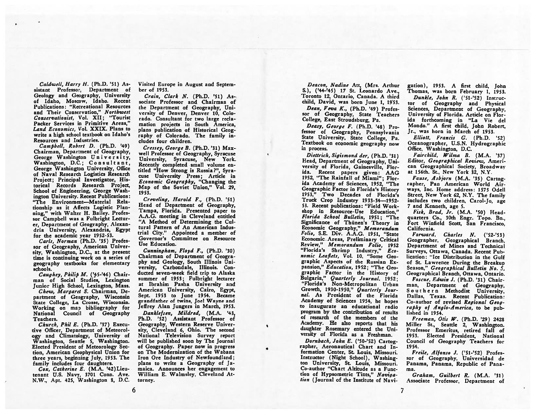CaIdwell, Harry H. (Ph.D. '51) As sistant Professor, Department of Geology and Geography, University of Idaho, Moscow, Idaho. Recent Publications: "Recreational Resources and Their Conservation," Northwest Conservationist, Vol. XII; "Tourist Packer Services in Primitive Areas," Land Economics, Vol. XXIX. Plans to write <sup>a</sup> high school textbook on Idaho's Resources and Industries.

Campbell, Robert D. (Ph.D. '49) Chairman, Department of Geography, George Washington University. Washington, D.C.; Consultant, George Washington University, Office of Naval Research Logistics Research Project; Principal Investigator, His torical Records Research Project, School of Engineering, George Wash ington University. Recent Publications: "The Environment—Material Rela tionship as it Affects Logistic Planning," with Walter H. Bailey. Professor Campbell was <sup>a</sup> Fulbright Lectur er, Department of Geography, Alexan dria University, Alexandria, Egypt for the academic year 1952-53.

Carls, Norman (Ph.D. '35) Profes sor of Geography, American Univer sity, Washington, D.C., at the presen<sup>t</sup> time is continuing work on <sup>a</sup> series of geography textbooks for elementary schools.

Caughey, Philip M. ('45-'46) Chairman of Social Studies, Lexington Junior High School, Lexington, Mass. Chew, Margaret S. Chairman, De partment of Geography, Wisconsin State College, La Crosse, Wisconsin. Working on map bibliography for National Council of Geography Teachers.

Church, Phil E. (Ph.D. '37) Execu tive Officer, Department of Meteorol ogy and Climatology, University of Washington, Seattle 5, Washington. Elected President of Meteorology Sec tion, American Geophysical Union for three years, beginning July, 1953. The family includes four daughters.

 $Cox$ , Catherine E. (M.A. '42) Lieutenant U.S. Navy, 3701 Conn. Ave. N.W., Apt. 425, Washington 8, D.C. Visited Europe in August and Septemher of 1953.

Grain, Clark N. (Ph.D. '51) As sociate Professor and Chairman of the Department of Geography, Uni versity of Denver, Denver 10, Colo rado. Consultant for two large recla mation projects in South America. plans publication of Historical Geog raphy of Colorado. The family in cludes four children.

Cressey, George B. (Ph.D. '31) Max well Professor of Geography, Syracuse University, Syracuse, New York. Recently completed small volume en titled "How Strong is Russia?", Syra cuse University Press; Article in Economic Geography, "Changing the Map of the Soviet Union," Vol. 29, 1953.

Creveling, Harold F., (Ph.D. '51) Head of Department of Geography, Tampa, Florida. Presented paper to A.A.G. meeting in Cleveland entitled "A Method of Determining the Cul tural Pattern of An American Indus trial City." Appointed <sup>a</sup> member of Governor's Committee on Resource Use Education.

Cunningham, Floyd F., (Ph.D. '30) Chairman of Department of Geogra phy and Geology, South Illinois Uni versity, Carbondale, Illinois. Con ducted seven-week field trip to Alaska summer of 1953; Fulbright lecturer at Ibrahim Pasha University and American University, Cairo, Egypt, Sept. 1953 to June 1954. Became grandfather of twins, Joel Wayne and Jeffrey Alan Jungers in March, 1953. Danklefsen, Mildred, (M.A. '43, Ph.D. '52) Assistant Professor of Geography, Western Reserve Univer sity, Cleveland 6, Ohio. The second National Television Survey repor<sup>t</sup> will be published soon by The Journal of Geography. Paper now in progress on The Modernization of the Wabana Iron Ore Industry of Newfoundland; plans to write <sup>a</sup> Geography of Ja maica. Announces her engagemen<sup>t</sup> to William E. Walmsley, Cleveland At torney.

Deacon, Nadine Att, (Mrs. Arthur S.), ('44-'45) 17 St. Leonardo Ave., Toronto 12, Ontario, Canada, A third child, David, was born June 1, 1953.

Dean, Veva K., (Ph.D. '49) Profes sor of Geography, State Teachers College, East Stroudsburg, Pa.

Deasy, George F. (Ph.D. '48) Pro-<br>fessor of Geography, Pennsylvania State University, State College, Pa. Textbook on economic geography now in process.

Diettrich, Sigismond der, (Ph.D. '31) Head, Department of Geography, Uni versity of Florida, Gainesville, Flor ida. Recent papers <sup>g</sup>iven: AAG 1952, "The Rainfall of Miami"; Flor ida Academy of Sciences, 1952, "The Geographic Factor in Florida's History 1953," Two Decades of Florida's Truck Crop Industry 1933-34-1952-53. Recent publications: "Field Work shop in Resource-Use Education," Florida School Bulletin, 1951; "The Significance of Thünen's Theory in Economic Geography," Memorandum Folio, S.E. Div. A.A.G. 1951, "State Economic Areas, Preliminary Critical Review," Memorandum Folio, 1952 "Florida's Shrimp Industry," Economic Leaflets, Vol. 10. "Some Geo graphic Aspects of the Russian Ex pansion," Education, 1952; "The Geographic Factor in the History of Bulgaria," Quarterly Journal, 1952; "Florida's Non-Metropolitan Urban Growth, 1930-1950," Quarterly Jour naL As President of the Florida Academy of Sciences 1954, he hopes to inaugurate an educational radio program by the contribution of results of research of the members of the Academy. He also reports that his daughter Rosemary entered the Uni versity of Florida as <sup>a</sup> Freshman.

Dornbach, John E. ('50-'52) Cartog rapher, Aeronautical Chart and In formation Center, St. Louis, Missouri. Instructor (Night School), Washing ton University, St. Louis, Missouri. Co-author "Chart Altitude as <sup>a</sup> Func tion of Hypsometric Tints," Naviga-<br>tion (Journal of the Institute of Navigation), 1953. A first child, John Thomas, was born February 1. 1953.

Dunkle, John R. ('5l-'52) Instruc tor of Geography and Physical Sciences, Department of Geography, University of Florida. Article on Flor ida forthcoming in "La Vie del Mondo." A first child, John Robert, Jr., was horn in March of 1953

Elliott, Francis G. (Ph.D. '52) Oceanographer, U.S.N. Hydrographic Office, Washington, D.C.

Fairchild, Wilma B. (M.A. '37) Editor, Geographical Review, American Geographical Society, Broadway at 156th. St.. New York 32, N.Y.

Fause, 4sbjorn (M.A. '35) Cartog rapher, Pan American World Air ways. Inc. Home address: 1575 OdeH Street, New York 62, N.Y. The family includes two children, Carol-Jo. age 7 and Kenneth, age 5.

Fisk, Brad, Jr. (M.A. '50) Head quarters Co., 30th Engr. Topo. Bn., Fort Winfield Scott, San Francisco, California.

Forward, Charles N. ('52-'53) Geographer, Geographical Branch, Department of Mines and Technical Surveys. Ottawa, Canada. Recent Pub lication: "Ice Distribution in the Gulf of St. Lawrence During the Breakup Season," Geographical Bulletin No. 5, Geographical Branch, Ottawa, Ontario.

Foscue, Edwin J. (Ph.D. '31) Chair man, Department of Geography, Southern Methodist University. Dallas, Texas. Recent Publication: Co-author of revised Regional Geog raphy of  $Analo-America$ , to be published in 1954.

Freeman, Otis W. (Ph.D. '29) 2428 Miller St., Seattle 2, Washington. Professor Emeritus, retired fall of 1953. Elected President, National Council of Geography Teachers for 1954.

Freile, difonto J. ('51-'52) Profes sor of Geography. Universidad de Panama, Panama. Republic of Pana ma.

Graham, Guilbert R. (M.A. '31) Associate Professor, Department of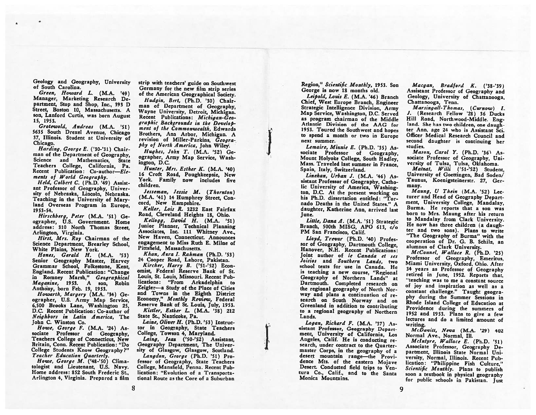Geology and Geography, University of South Carolina.

Green, Howard L. (M.A. '49) Manager, Marketing Research De partment, Stop and Shop, Inc., 393 <sup>D</sup> Street, Boston 10, Massachusetts. A son, Lanford Curtis, was born August 15, 1953.

Grotewold, Andreas (M.A. '51) <sup>5635</sup> South Drexel Avenue, Chicago 37, Illinois. Student at University of Chicago.

Harding, George E. ('30-'31) Chair man of the Department of Geography, Science and Mathematics, State Teachers College, California, Pa. Recent Publication: Co-author-Elements of World Geography.

Held, Colbert C. (Ph.D. '49) Assist ant Professor of Geography, Univer sity of Nebraska, Lincoln, Nebraska. Teaching in the University of Mary land Overseas Program in Europe. 1953-54.

Hirschberg, Peter (M.A. '51) Geographer, U.S. Government. Home address: 310 North Thomas Street, Arlington, Virginia.

Hirst, Mrs. Roy Chairman of the Science Department, Brearley School, White Plains, New York.

Hones, Gerald H. (M.A. '53) Senior Geography Master, Harvey Grammar School, Folkestone, Kent, England. Recent Publication: "Change in Romney Marsh," Geographical Magazine, 1953. A son, Robin Anthony, born Feb. 19, 1953.

Flowarth, Margery (M.A. '34) Ge ographer, U.S. Army Map Service, 6,500 Brooks Lane, Washington 25, D.C. Recent Publication: Co-author of Neighbors in Latin America, The John C. Winston Co.

Howe, George F. (M.A. '24) As sociate Professor of Geography, Teachers College of Connecticut, New Britain, Conn. Recent Publication: "Do College Students Know Geography?" Teacher Education Quarterly.

Howe, George M. ('48-'50) Clima tologist and Lieutenant, U.S. Navy. Home address: 852 South Frederic St., Arlington 4, Virginia. Prepared <sup>a</sup> film strip with teachers' guide on Southwest Germany for the new film strip series of the American Geographical Society.

Fludgin, Bert. (Ph.D. '30) Chair man of Department of Geography, Wayne University, Detroit, Michigan. Recent Publications: Michigan-Geographic Backgrounds in the Develop ment of the Commonwealth, Edwards Brothers, Ann Arbor, Michigan. <sup>A</sup> revision of Miller-Parkins, Geogra<sup>p</sup>hy of North America, John Wiley.

.<br>1940 - Personal Propinsi Propinsi Propinsi Propinsi Propinsi Propinsi Propinsi Propinsi Propinsi Propinsi Pro

I'

Hughes, John T. (M.A. '52) Ge ographer, Army Map Service, Wash ington, D.C.

Hunter, Mrs. Esther K. (M.A. '40) <sup>16</sup> Croft Road, Poughkeepsie, New York. Family now includes five children.

Jesseman, Jessie M. (Thornton) (M.A. '41) <sup>14</sup> Humphrey Street, Con cord, New Hampshire.

Keller, Lois R. 3232 East Fairfax Road, Cleveland Heights 18, Ohio.

 $Kelloga$ , David H.  $(M.A. '51)$ Junior Planner, Technical Planning Associates, Inc. <sup>111</sup> Whitney Ave., New Haven, Connecticut. Announces engagement to Miss Ruth E. Mime of Pittsfield, Massachusetts.

Khan, Azra 1. Rahman (Ph.D. '53) 24 Cooper Road, Lahore, Pakistan. Kircher, Harry B. ('51-'52) Econ omist, Federal Reserve Bank of St. Louis, St. Louis, Missouri. Recent Pub lications: "From Arkadeiphia to Zeigler—a Study of the Place of Cities and Towns in the Eighth District Economy," Monthly Review, Federal Reserve Bank of St. Louis, July, 1953. Kistler, Esther L. (M.A. '38) 212

State St., Nanticoke, Pa. Laine, Oliver H. (Ph.D. '53) Instruc-

tor in Geography, State Teachers College, Towson 4, Maryland.

Laing, Jean ('50-'52) Assistant. Geography Department, The Univer sity of Glasgow, Glasgow, Scotland.

Langdon, George (Ph.D. '51) Pro fessor of Geography, State Teachers College, Mansfield, Penna. Recent Pub lication: "Evolution of <sup>a</sup> Transporta tional Route as the Core of <sup>a</sup> Suburban

Region," Scientific Monthly, 1953. Son George is now 18 months old.

Leipold, Louis E. (M.A. '46) Branch Chief, West Europe Branch, Engineer Strategic Intelligence Division, Army Map Service, Washington, D.C. Served as program chairman of the Middle Atlantic Division of the AAG for 1953. Toured the Southwest and hopes to spend <sup>a</sup> month or two in Europe next summer.

Lemaire, Minnie B. (Ph.D. '35) As sociate Professor of Geography, Mount Holyoke College, South Hadley, Mass. Traveled last summer in France, Spain, Italy, Switzerland.

Linehan, Urban J.  $(M.A. '46) As$ sistant Professor of Geography, Catho lic University of America, Washington, D.C. At the present working on his Ph.D. dissertation entitled: "Tor nado Deaths in the United States." A daughter, Katherine Ann, arrived last June.

Little, Dana A. (M.A. '51) Strategic Branch, 500th MISG, APO 613, c/o PM San Francisco, Calif.

Lloyd, Trevar (Ph.D. '40) Profes sor of Geography, Dartmouth College, Hanover, N.H. Recent Publications: Joint author of le Canada et ses Joisios and Southern Lands, two school texts for use in Canada. He is teaching <sup>a</sup> new course, "Regional Geography of Northern Lands" at Dartmouth. Completed research on the regional geography of North Nor way and plans <sup>a</sup> Continuation of re search on South Norway and on<br>Greenland in addition to contributing to a regional geography of Northern Lands.

Logan, Richard F. (M.A. '37) As sistant Professor, Geography Depart ment, University of California, Los<br>Angeles, Calif. He is conducting research, under contract to the Quartermaster Corps, in the geography of <sup>a</sup> desert mountain range—the Provi dence Mts. of the eastern Mojave Desert. Conducted field trips to Ven tura Co., Calif., and to the Santa Monica Mountains.

Macgan, Bradford K. ('38-'39) Assistant Professor of Geography and Geology. University of Chattanooga. Chattanooga, Tenn.

Marsingall-Thomas, (Curnow) I. I. (Research Fellow '28) <sup>36</sup> Ducks Hill Road, Northwood-Middle. Eng land. She has two children, one daughter Ann, age 24 who is Assistant Sci. Officer Medical Research Council and second daughter is continuing her studies.

Mason, Carol Y. (Ph.D. '36) Associate Professor of Geography, Uni versity of Tulsa, Tulsa, Oklahoma,

Matzat, Willi ('51-'52) Student, University of Goettingen, Bad Soden/ Taunus, Koenigsteinerstr. 27, Ger many.

Maung, U Thein (M.A. '52) Lecturer and Head of Geography Depart ment, University College, Mandalay, Burma. He reports that <sup>a</sup> son was born to Mrs. Maung after his return to Mandalay from Clark University. He now has three children (a daugh ter and two sons). Plans to write "The Geography of Burma" with the cooperation of Dr. G. B. Schilz, an alumnus of Clark University.

McConnel, Wallace R. (Ph.D. '25) Professor of Geography, Emeritus, Miami University, Oxford. Ohio. After <sup>34</sup> years as Professor of Geography retired in June, 1952. Reports that. "teaching was to me <sup>a</sup> constant source of joy and inspiration as well as <sup>a</sup> constant challenge." Taught geogra phy during the Summer Sessions in Rhode Island College of Education at Providence during the summers of <sup>1952</sup> and 1953. Plans to <sup>g</sup>ive <sup>a</sup> few lectures and do <sup>a</sup> limited amount of Writing.

 $McDavitt$ , Neva  $(M.A. '29)$  402 Normal Ave., Normal, Ill.

 $Mclntyre, Wallace E. (Ph.D. '51)$ Associate Professor, Geography De partment, Illinois State Normal Uni versity, Normal, Illinois. Recent Pub lication: "Philippine Fish Culture," Scientific Monthly. Plans to publish soon <sup>a</sup> textbook in <sup>p</sup>hysical geography for public schools in Pakistan. Just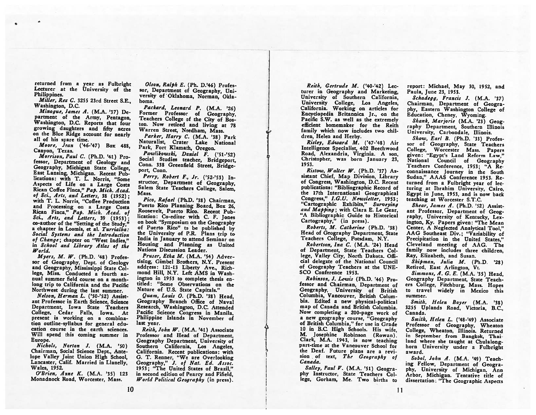returned from <sup>a</sup> year as Fuibright Lecturer at the University of the Philippines.

Miller, Rex C. 3255 23rd Street S.E., Washington, D.C.

Minogue, James A. (M.A. '37) De partment of the Army, Pentagon, Washington, D.C. Reports that four growing daughters and fifty acres on the Blue Ridge account for nearly all of his spare time.

Moore, Jean ('46-'47) Box 488, Canyon, Texas.

Morrison, Paul C. (Ph.D. '41) Pro fessor, Department of Geology and Geography, Michigan State College, East Lansing, Michigan. Recent Pub lications: with T. L. Norris, "Some Aspects of Life on <sup>a</sup> Large Costa Rican Coffee Finca," Pap. Mich. Acad. of Sci., Arts, and Letters. 38 (1952): with T. L. Norris, "Coffee Production and Processing on <sup>a</sup> Large Costa Rican Finca," Pap. Mich. <sup>A</sup> cad. of Sci., Arts, and Letters, 39 (1953); co-author of the "Setting of the Study," <sup>a</sup> chapter in Loomis, et al. Turrialba: Social Systems and the Introduction of Change; chapter on "West Indies," in School and Library Atlas of the World.

Myers, M. W. (Ph.D. '48) Professor of Geography, Dept. of Geology and Geography, Mississippi State Col lege, Miss. Conducted <sup>a</sup> fourth an nual summer field course on <sup>a</sup> monthlong trip to California and the Pacific Northwest during the last summer.

Nelson, Herman L. ('50-'52) Assist ant Professor in Earth Science, Science Department, Iowa State Teachers College, Cedar Falls, Iowa. At present is working on <sup>a</sup> combina tion outline-syllabus for general edu cation course in the earth sciences. Will spend this coming summer in Europe.

Nichols, Norton J. (M.A. '50) Chairman, Social Science Dept., Ante lope Valley Joint Union High School, Lancaster, Calif. Married in Llanelly, Wales, 1952.

O'Brien, Anne K. (M.A. '35) <sup>123</sup> Monadnock Road, Worcester, Mass.

Olson, Ralph E. (Ph. D.'46) Profes sor, Department of Geography, Uni versity of Oklahoma, Norman, Okla homa.

Packard, Leonard P. (M.A. '26) Former Professor of Geography, Teachers College of the City of Bos ton. Now retired and living at <sup>78</sup> Warren Street, Needham, Mass.

Parker, Harry C. (M.A. '38) Park Naturalist, Crater Lake National Park, Fort Klamath, Oregon.<br>Pawlikowski, Daniel F. ('51-'52).

Social Studies teacher, Bridgeport, Conn. 338 Greenfield Street, Bridge-<br>port, Conn.

Perry, Robert F., Jr. ('52-'53) Instructor, Department of Geography, Salem State Teachers College, Salem. Mass.

Pico, Rafael (Ph.D. '38) Chairman, Puerto Rico Planning Board, Box 26, Roosevelt, Puerto Rico. Recent Pub lication: Co-editor with C. F. Jones on book "Symposium on the Geography of Puerto Rico" to be published by the University of P.R. Plans trip to India in January to attend Seminar on Housing and Planning as United Nations Discussion Leader.

Pruser, Etha M. (M.A. '54) Advertising, Gimbel Brothers, N.Y. Present address: 121-13 Liberty Ave., Rich mond Hill, N.Y. Left AMS in Wash ington in <sup>1953</sup> to complete thesis en titled: "Some Observations on the Nature of U.S. State Capitals."

Quam, Louis 0. (Ph.D. '38) Head, Geography Branch Office of Naval Research, Washington, D.C. Attended Pacific Science Congress in Manila, Philippine Islands in November of last year.

 $Reith, John W. (M.A. '41) Associated$ Professor and Head of Department. Geography Department, University of Southern California, Los Angeles, California. Recent publications: with G. T. Renner, "We are Overlooking Geography," J. of Nat. Ed. Assoc. 1953; "The United States of Brazil," in second edition of Pearcy and Fifield, World Political Geography (in press).

L

Reith, Gertrude M. ('40-'42) Lec turer in Geography and Marketing, University of Southern California, University College, Los Angeles, California. Working on articles for Encyclopedia Britannica Jr., on the Pacific S.W. as well as the extremely efficient homemaker for the Reith family which now includes two chil dren, Helen and Herby.

Risley, Edward M. ('47-'48) Air Intelligence Specialist, 402 Beechwood Road, Alexandria, Virginia. A son, Christopher, was born January 23, 1953.

 $R$ istow, Walter W. (Ph.D. '37) Assistant Chief, Map Division, Library of Congress, Washington, D.C. Recent publications: "Bibliographic Record of the 17th International Geographical Congress," I.G.U. Newsletter, 1953; "Cartographic Exhibits," Surveying and Mapping; with Clara E. Le Gear, "A Bibliographic Guide to Historical Cartography," (in press).

Roberts, M. Catherine (Ph.D. '38) Head of Geography Department, State Teachers College, Potsdam, N.Y.

Robertson, Ina C. (M.A. '24) Head of Department, State Teachers Col lege, Valley City, North Dakota. Offi cial delegate of the National Council of Geography Teachers at the UNE SCO Conference 1953.

Robinson, J. Lewis (Ph.D. '46) Pro fessor and Chairman, Department of Geography, University of British Columbia, Vancouver, British Colum bia. Edited <sup>a</sup> new <sup>p</sup>hysical-political map of Canada and British Columbia. Now completing <sup>a</sup> 200-page work of <sup>a</sup> new geography course, "Geography of British Columbia." for use in Grade 10 in B.C. High Schools. His wife, M. Josephine Robinson (Rowan), Clark, M.A. 1943, is now teaching part-time at the Vancouver School for the Deaf. Future <sup>p</sup>lans are <sup>a</sup> revi sion of text, The Geography of Canada.

Salley, Paul V. (M.A. '51) Geography Instructor, State Teachers Col lege, Gorham, Me. Two births to

report: Michael, May 30, 1952, and Paula, June 23, 1953.

Schadegg, Francis J. (M.A. '37) Chairman, Department of Geogra <sup>p</sup>hy, Eastern Washington College of Education, Cheney, Wyoming.

Shank, Marjorie (M.A. '23) Geog raphy Department, Southern Illinois University, Carbondale, Illinois.

Shaw, Earl B. (Ph.D. '33) Professor of Geography, State Teachers College. Worcester Mass. Papers <sup>g</sup>iven: "Egypt's Land Reform Law," National Council of Geography Teachers Conference, 1953; "A Re connaissance Journey in the South Sudan," AAAS Conference 1953. Re turned from <sup>a</sup> Fulbrighr year of lec turing at Ibrahim University, Cairo, Egypt in June, 1953, and is now back teaching at Worcester S.T.C.

Shear, James A. (Ph.D. '52) Assist ant Professor, Department of Geog raphy, University of Kentucky, Lex ington, Ky. Papers <sup>g</sup>iven: "The Mean Center, <sup>A</sup> Neglected Analytical Tool." AAG Southeast Div.; "Variability of Precipitation in the United States," Cleveland meeting of AAG. The family now includes three children, Ray, Elizabeth, and Susan.

Shipman, Julia M. (Ph.D. '28) Retired, East Arlington, Vt.

Simmons, A. G. E. (M.A. '35) Head, Geography Department, State Teach ers College, Fitchburg, Mass. Hopes to travel widely in Mexico this summer.

Smith. Helen Boyer (M.A. '38) 3255 Uplands Road, Victoria, B.C., Canada.

Smith, Helen L. ('48-'49) Associate Professor of Geography, Wheaton College, Wheaton, Illinois. Returned in September from Bangkok, Thai land where she taught at Chulalong-<br>horn University under a Fulbright award.

Sobol, John A. (M.A. '49) Teaching Fellow, Department of Geogra <sup>p</sup>hy, University of Michigan. Ann Arbor, Michigan. Tentative title of dissertation: "The Geographic Aspects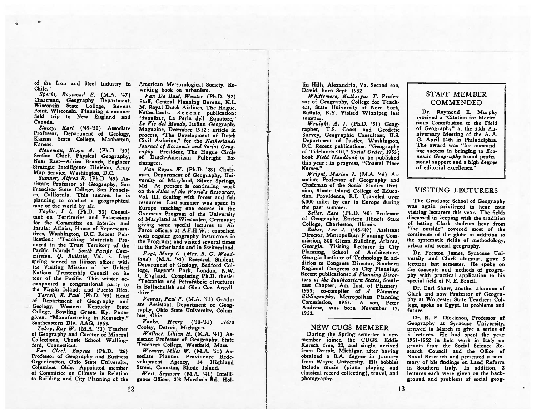of the Iron and Steel Industry in Chile."

Specht, Raymond E. (M.A. '47) Chairman, Geography Department, Wisconsin State College, Stevens Point, Wisconsin. Planning <sup>a</sup> summer field trip to New England and Canada.

Stacey, Karl ('49-'50) Associate Professor, Department of Geology, Kansas State College, Manhattan, Kansas.

Stoneman, Elvyn A. (Ph.D. '50) Section Chief, Physical Geography, Near East—Africa Branch, Engineer Strategic Intelligence Division, Army Map Service, Washington, D.C.

Sumner, Alfred R. (Ph.D. '49) As sistant Professor of Geography, San Francisco State College, San Francis co, California. This summer he is <sup>p</sup>lanning to conduct <sup>a</sup> geographical tour of the world by air.

Taylor, I. L. (Ph.D. '53) Consul tant on Territories and Possessions for the Committee on Interior and Insular Affairs, House of Representa tives, Washington, D.C. Recent Pub lication: "Teaching Materials Pro duced in the Trust Territory of the Pacific Islands," South Pacific Commission. Q. Bulletin, Vol. 3. Last spring served as liaison officer with the Visiting Mission of the United Nations Trusteeship Council on its tour of the Pacific. This winter ac companied <sup>a</sup> congressional party to the Virgin Islands and Puerto Rico. Terrell, R. Paul (Ph.D. '49) Head of Department of Geography and Geology, Western Kentucky State College, Bowling Green, Ky. Paoer <sup>g</sup>iven: "Manufacturing in Kentucky." Southeastern Div. AAG, 1953.

Tobey, Ray W. (M.A. '53) Teacher of Geography and Curator of Mineral Collections, Choate School, Wallingford, Connecticut.

Van Cleef, Eugene (Ph.D. '26) Professor of Geography and Business Organization. Ohio State University, Columbus. Ohio. Appointed member of Committee on Climate in Relation to Building and City Planning of the American Meteorological Society. Re writing book on urbanism.

Van De Bunt, Wouter (Ph.D. '52) Staff, Central Planning Bureau, K.L. M. Royal Dutch Airlines, The Hague, Netherlands. Recent publication: "Sanaibar, La Perla dell' Equatore." Le Vie del Mondo, Italian Geography Magazine, December 1952; article in process, "The Development of Dutch Civil Aviation," for the Netherlands Journal of Economic and Social Geog raphy. President, The Hague Circle of Dutch-American Fulbright Ex changees.

Van Royen W. (Ph.D. '28) Chair man, Department of Geography, Uni versity of Maryland, Silver Springs, Md. At present is continuing work on the Atlas of the World's Resources, Vol. III, dealing with forest and fish resources. Last summer was spent in Europe teaching one course in the Overseas Program of the University of Maryland at Wiesbaden, Germany; giving some special lectures to Air Force officers at A.F.H.W.; consulted with regular geography instructors in the Program; and visited several times in the Netherlands and in Switzerland.

Vogt, Mary C. (Mrs. B. C. Wood land) (M.A. '43) Research Student, Department of Geology, Bedford Col lege, Regent's Park, London, N.W. 1, England. Completing Ph.D. thesis: "Tectonics and Petrofabric Structures in Ballachulish and Glen Coe, Argyll shire."

Vouras, Paul P. (M.A. '51) Gradu ate Assistant, Department of Geog raphy, Ohio State University, Colum bus, Ohio.

Vozka, Henry ('30-'31) <sup>17670</sup> Cooley, Detroit, Michigan.

Wallace, Lillian H. (M.A. '41) As sistant Professor of Geography, State Teachers College, Westfield, Mass.

Weaver, Miles W.  $(M.A. '51) As$ sociate Planner, Providence Rede velopment Agency, <sup>14</sup> Highland Street, Cranston, Rhode Island.

West, Seymour (M.A. '41) Intelligence Officer, 208 Martha's Rd., Hol lin Hills, Alexandria, Va. Second son, David, born Sept. 1952.

Whittemore, Katheryne T. Profes sor of Geography, College for Teachers, State University of New York, Buffalo, N.Y. Visited Winnipeg last summer.

Wraight, A. J. (Ph.D. '51) Geographer, U.S. Coast and Geodetic Survey, Geographic Consultant, U.S. Department of Justice, Washington, D.C. Recent publications: "Geography of Tidelands Oil," Social Order, 1953; book Field Handbook to be published this year; in progress. "Coastal Place Names."

Wright, Marion I. (M.A. '46) Associate Professor of Geography and Chairman of the Social Studies Divi sion, Rhode Island College of Educa tion, Providence, R.I. Traveled over 6,000 miles by car in Europe during the past summer.

Zeller, Rose (Ph.D. '40) Professor of Geography, Eastern Illinois State College, Charleston, Illinois.

Zuber, Leo J. ('48-'49) Assistant Director, Metropolitan Planning Com mission, <sup>808</sup> Glenn Building, Atlanta, Planning, School of Architecture, Georgia Institute of Technology in ad dition to Congress Director, Southern Regional Congress on City Planning. Recent publications: A Planning Directory of the Southeastern States, South east Chapter, Am. Inst. of Planners, 1953; co-compiler of <sup>A</sup> Planning Bibliography, Metropolitan Planning Commission, 1953. A son, Peter Andrew, was born November 17, 1953.

#### NEW CUGS MEMBER

During the Spring semester <sup>a</sup> new member joined the CUGS. Eddie Kersch, free, 22, and single, arrived from Detroit, Michigan after having obtained <sup>a</sup> B.A degree in January from Wayne University. His hobbies include music (piano <sup>p</sup>laying and classical record collecting), travel, and photography.

#### STAFF MEMBER **COMMENDED**

Dr. Raymond E. Murphy received <sup>a</sup> "Citation for Merito rious Contribution to the Field of Geography" at the 50th An niversary Meeting of the A. A. G. April 14th in Philadelphia. The award was "for outstand ing success in bringing to  $Eco$ nomic Geography broad profes sional support and <sup>a</sup> high degree of editorial excellence."

#### VISITING LECTURERS

The Graduate School of Geography was again privileged to hear four visiting lecturers this year. The fields discussed in keeping with the tradition of letting Clark students hear from "the outside" covered most of the continents of the globe in addition to the systematic fields of methodology, urban and social geography.

Dr. Preston James, Syracuse Uni versity and Clark alumnus, gave 3 lectures last semester. He spoke on the concepts and methods of geogra <sup>p</sup>hy with practical application to his special field of N. E. Brazil.

Dr. Earl Shaw, another alumnus of Clark and now Professor of Geogra phy at Worcester State Teachers Col lege, spoke on Egypt, its problems and future.

Dr. R. E. Dickinson, Professor of Geography at Syracuse University, arrived in March to give <sup>a</sup> series of <sup>5</sup> lectures. He had spent the year 1951-1952 in field work in Italy on grants from the Social Science Re search Council and the Office of Naval Research and presented <sup>a</sup> sum mary of his findings on Land Reform in Southern Italy. In addition, 2 lectures each were given on the back ground and problems of social geog